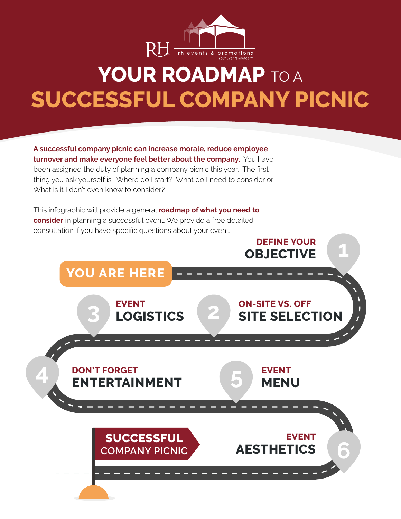

# **YOUR ROADMAP TO A SUCCESSFUL COMPANY PICNIC**

**A successful company picnic can increase morale, reduce employee turnover and make everyone feel better about the company.** You have been assigned the duty of planning a company picnic this year. The first thing you ask yourself is: Where do I start? What do I need to consider or What is it I don't even know to consider?

This infographic will provide a general **roadmap of what you need to consider** in planning a successful event. We provide a free detailed consultation if you have specific questions about your event.

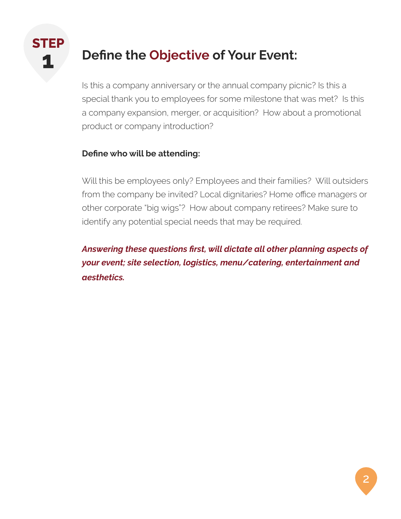

## **12 Define the Objective of Your Event:**

Is this a company anniversary or the annual company picnic? Is this a special thank you to employees for some milestone that was met? Is this a company expansion, merger, or acquisition? How about a promotional product or company introduction?

#### **Define who will be attending:**

Will this be employees only? Employees and their families? Will outsiders from the company be invited? Local dignitaries? Home office managers or other corporate "big wigs"? How about company retirees? Make sure to identify any potential special needs that may be required.

*Answering these questions first, will dictate all other planning aspects of your event; site selection, logistics, menu/catering, entertainment and aesthetics.*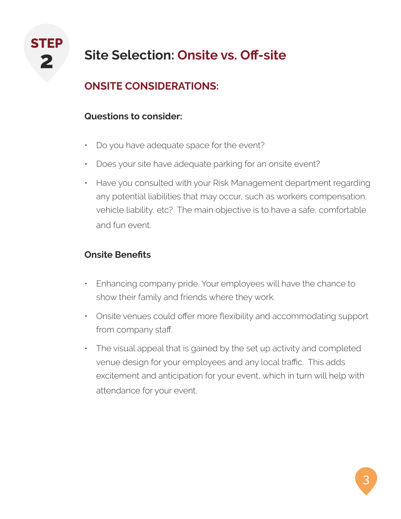

# **2 Site Selection: Onsite vs. Off-site**

## **ONSITE CONSIDERATIONS:**

#### **Questions to consider:**

- Do you have adequate space for the event?
- Does your site have adequate parking for an onsite event?
- Have you consulted with your Risk Management department regarding any potential liabilities that may occur, such as workers compensation, vehicle liability, etc? The main objective is to have a safe, comfortable and fun event.

#### **Onsite Benefits**

- Enhancing company pride. Your employees will have the chance to show their family and friends where they work.
- Onsite venues could offer more flexibility and accommodating support from company staff.
- The visual appeal that is gained by the set up activity and completed venue design for your employees and any local traffic. This adds excitement and anticipation for your event, which in turn will help with attendance for your event.

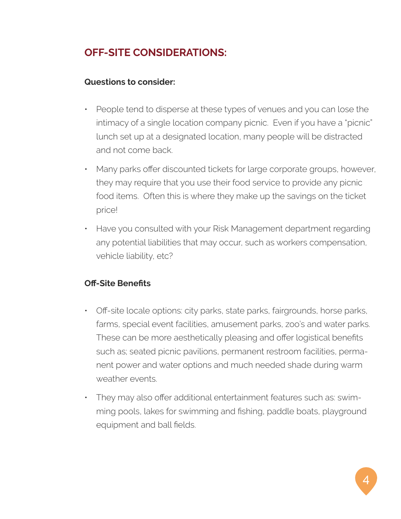#### **OFF-SITE CONSIDERATIONS:**

#### **Questions to consider:**

- People tend to disperse at these types of venues and you can lose the intimacy of a single location company picnic. Even if you have a "picnic" lunch set up at a designated location, many people will be distracted and not come back.
- Many parks offer discounted tickets for large corporate groups, however, they may require that you use their food service to provide any picnic food items. Often this is where they make up the savings on the ticket price!
- Have you consulted with your Risk Management department regarding any potential liabilities that may occur, such as workers compensation, vehicle liability, etc?

#### **Off-Site Benefits**

- Off-site locale options: city parks, state parks, fairgrounds, horse parks, farms, special event facilities, amusement parks, zoo's and water parks. These can be more aesthetically pleasing and offer logistical benefits such as; seated picnic pavilions, permanent restroom facilities, permanent power and water options and much needed shade during warm weather events.
- They may also offer additional entertainment features such as: swimming pools, lakes for swimming and fishing, paddle boats, playground equipment and ball fields.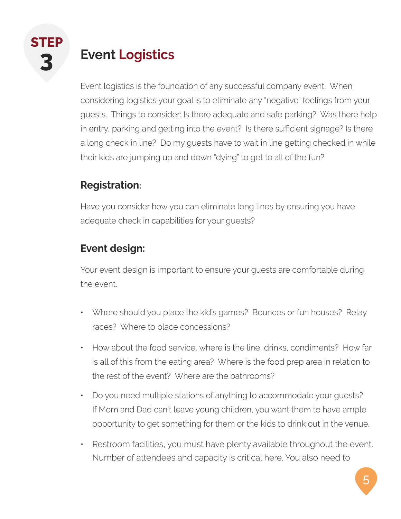

# **3 Event Logistics**

Event logistics is the foundation of any successful company event. When considering logistics your goal is to eliminate any "negative" feelings from your guests. Things to consider: Is there adequate and safe parking? Was there help in entry, parking and getting into the event? Is there sufficient signage? Is there a long check in line? Do my guests have to wait in line getting checked in while their kids are jumping up and down "dying" to get to all of the fun?

### **Registration:**

Have you consider how you can eliminate long lines by ensuring you have adequate check in capabilities for your guests?

## **Event design:**

Your event design is important to ensure your guests are comfortable during the event.

- Where should you place the kid's games? Bounces or fun houses? Relay races? Where to place concessions?
- How about the food service, where is the line, drinks, condiments? How far is all of this from the eating area? Where is the food prep area in relation to the rest of the event? Where are the bathrooms?
- Do you need multiple stations of anything to accommodate your guests? If Mom and Dad can't leave young children, you want them to have ample opportunity to get something for them or the kids to drink out in the venue.
- Restroom facilities, you must have plenty available throughout the event. Number of attendees and capacity is critical here. You also need to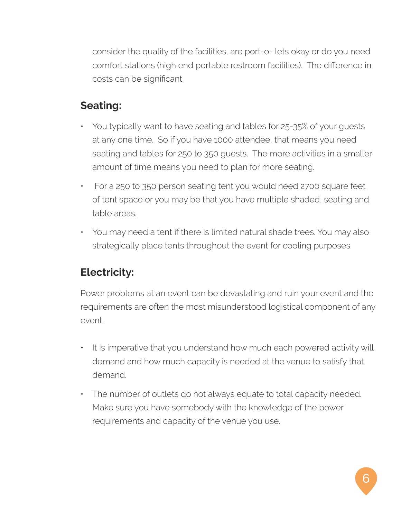consider the quality of the facilities, are port-o- lets okay or do you need comfort stations (high end portable restroom facilities). The difference in costs can be significant.

#### **Seating:**

- You typically want to have seating and tables for 25-35% of your guests at any one time. So if you have 1000 attendee, that means you need seating and tables for 250 to 350 guests. The more activities in a smaller amount of time means you need to plan for more seating.
- For a 250 to 350 person seating tent you would need 2700 square feet of tent space or you may be that you have multiple shaded, seating and table areas.
- You may need a tent if there is limited natural shade trees. You may also strategically place tents throughout the event for cooling purposes.

### **Electricity:**

Power problems at an event can be devastating and ruin your event and the requirements are often the most misunderstood logistical component of any event.

- It is imperative that you understand how much each powered activity will demand and how much capacity is needed at the venue to satisfy that demand.
- The number of outlets do not always equate to total capacity needed. Make sure you have somebody with the knowledge of the power requirements and capacity of the venue you use.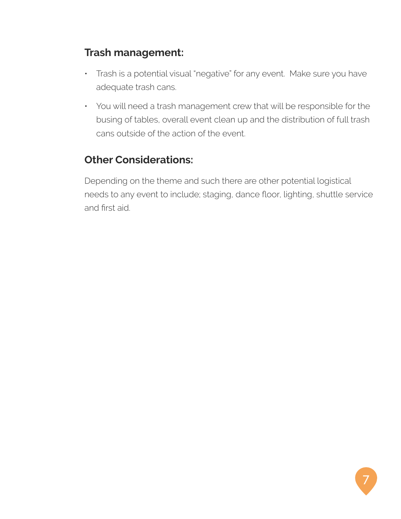### **Trash management:**

- Trash is a potential visual "negative" for any event. Make sure you have adequate trash cans.
- You will need a trash management crew that will be responsible for the busing of tables, overall event clean up and the distribution of full trash cans outside of the action of the event.

## **Other Considerations:**

Depending on the theme and such there are other potential logistical needs to any event to include; staging, dance floor, lighting, shuttle service and first aid.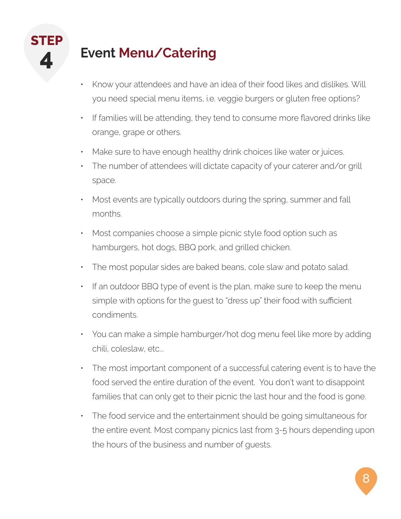

## **4 Event Menu/Catering**

- Know your attendees and have an idea of their food likes and dislikes. Will you need special menu items, i.e. veggie burgers or gluten free options?
- If families will be attending, they tend to consume more flavored drinks like orange, grape or others.
- Make sure to have enough healthy drink choices like water or juices.
- The number of attendees will dictate capacity of your caterer and/or grill space.
- Most events are typically outdoors during the spring, summer and fall months.
- Most companies choose a simple picnic style food option such as hamburgers, hot dogs, BBQ pork, and grilled chicken.
- The most popular sides are baked beans, cole slaw and potato salad.
- If an outdoor BBQ type of event is the plan, make sure to keep the menu simple with options for the guest to "dress up" their food with sufficient condiments.
- You can make a simple hamburger/hot dog menu feel like more by adding chili, coleslaw, etc...
- The most important component of a successful catering event is to have the food served the entire duration of the event. You don't want to disappoint families that can only get to their picnic the last hour and the food is gone.
- The food service and the entertainment should be going simultaneous for the entire event. Most company picnics last from 3-5 hours depending upon the hours of the business and number of guests.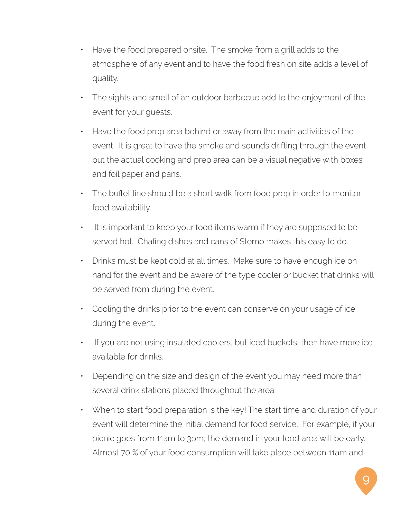- Have the food prepared onsite. The smoke from a grill adds to the atmosphere of any event and to have the food fresh on site adds a level of quality.
- The sights and smell of an outdoor barbecue add to the enjoyment of the event for your guests.
- Have the food prep area behind or away from the main activities of the event. It is great to have the smoke and sounds drifting through the event, but the actual cooking and prep area can be a visual negative with boxes and foil paper and pans.
- The buffet line should be a short walk from food prep in order to monitor food availability.
- It is important to keep your food items warm if they are supposed to be served hot. Chafing dishes and cans of Sterno makes this easy to do.
- Drinks must be kept cold at all times. Make sure to have enough ice on hand for the event and be aware of the type cooler or bucket that drinks will be served from during the event.
- Cooling the drinks prior to the event can conserve on your usage of ice during the event.
- If you are not using insulated coolers, but iced buckets, then have more ice available for drinks.
- Depending on the size and design of the event you may need more than several drink stations placed throughout the area.
- When to start food preparation is the key! The start time and duration of your event will determine the initial demand for food service. For example, if your picnic goes from 11am to 3pm, the demand in your food area will be early. Almost 70 % of your food consumption will take place between 11am and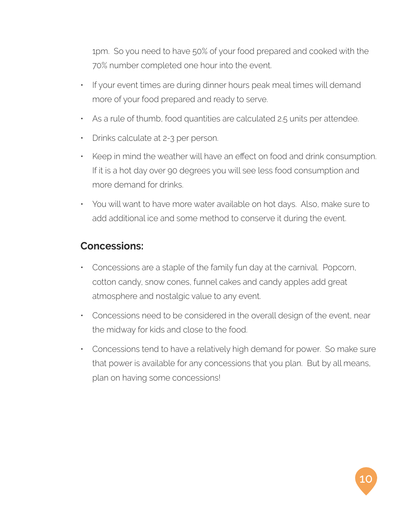1pm. So you need to have 50% of your food prepared and cooked with the 70% number completed one hour into the event.

- If your event times are during dinner hours peak meal times will demand more of your food prepared and ready to serve.
- As a rule of thumb, food quantities are calculated 2.5 units per attendee.
- Drinks calculate at 2-3 per person.
- Keep in mind the weather will have an effect on food and drink consumption. If it is a hot day over 90 degrees you will see less food consumption and more demand for drinks.
- You will want to have more water available on hot days. Also, make sure to add additional ice and some method to conserve it during the event.

#### **Concessions:**

- Concessions are a staple of the family fun day at the carnival. Popcorn, cotton candy, snow cones, funnel cakes and candy apples add great atmosphere and nostalgic value to any event.
- Concessions need to be considered in the overall design of the event, near the midway for kids and close to the food.
- Concessions tend to have a relatively high demand for power. So make sure that power is available for any concessions that you plan. But by all means, plan on having some concessions!

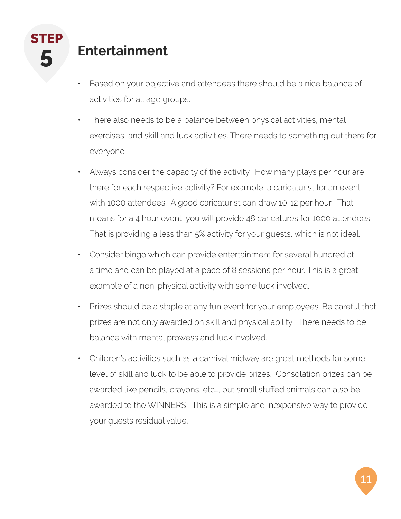## **5 Entertainment**

- Based on your objective and attendees there should be a nice balance of activities for all age groups.
- There also needs to be a balance between physical activities, mental exercises, and skill and luck activities. There needs to something out there for everyone.
- Always consider the capacity of the activity. How many plays per hour are there for each respective activity? For example, a caricaturist for an event with 1000 attendees. A good caricaturist can draw 10-12 per hour. That means for a 4 hour event, you will provide 48 caricatures for 1000 attendees. That is providing a less than 5% activity for your guests, which is not ideal.
- Consider bingo which can provide entertainment for several hundred at a time and can be played at a pace of 8 sessions per hour. This is a great example of a non-physical activity with some luck involved.
- Prizes should be a staple at any fun event for your employees. Be careful that prizes are not only awarded on skill and physical ability. There needs to be balance with mental prowess and luck involved.
- Children's activities such as a carnival midway are great methods for some level of skill and luck to be able to provide prizes. Consolation prizes can be awarded like pencils, crayons, etc…, but small stuffed animals can also be awarded to the WINNERS! This is a simple and inexpensive way to provide your guests residual value.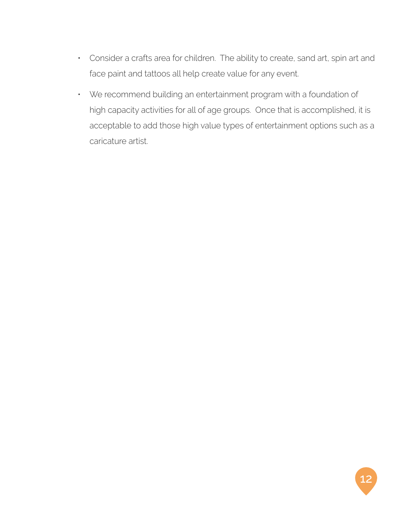- Consider a crafts area for children. The ability to create, sand art, spin art and face paint and tattoos all help create value for any event.
- We recommend building an entertainment program with a foundation of high capacity activities for all of age groups. Once that is accomplished, it is acceptable to add those high value types of entertainment options such as a caricature artist.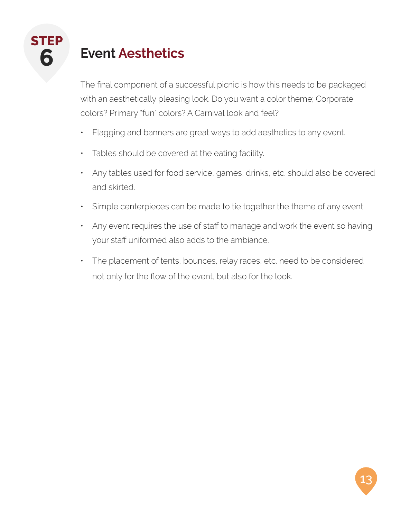# **6 Event Aesthetics**

The final component of a successful picnic is how this needs to be packaged with an aesthetically pleasing look. Do you want a color theme; Corporate colors? Primary "fun" colors? A Carnival look and feel?

- Flagging and banners are great ways to add aesthetics to any event.
- Tables should be covered at the eating facility.
- Any tables used for food service, games, drinks, etc. should also be covered and skirted.
- Simple centerpieces can be made to tie together the theme of any event.
- Any event requires the use of staff to manage and work the event so having your staff uniformed also adds to the ambiance.
- The placement of tents, bounces, relay races, etc. need to be considered not only for the flow of the event, but also for the look.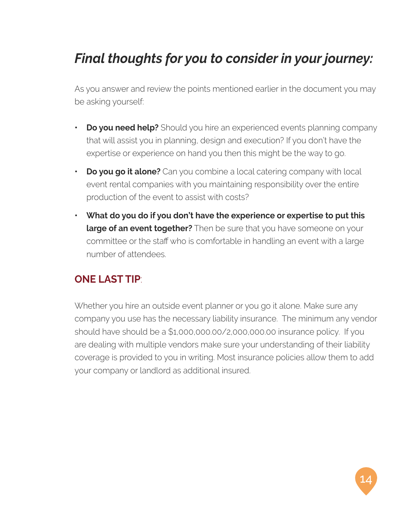# *Final thoughts for you to consider in your journey:*

As you answer and review the points mentioned earlier in the document you may be asking yourself:

- **Po you need help?** Should you hire an experienced events planning company that will assist you in planning, design and execution? If you don't have the expertise or experience on hand you then this might be the way to go.
- **• Do you go it alone?** Can you combine a local catering company with local event rental companies with you maintaining responsibility over the entire production of the event to assist with costs?
- **• What do you do if you don't have the experience or expertise to put this large of an event together?** Then be sure that you have someone on your committee or the staff who is comfortable in handling an event with a large number of attendees.

#### **ONE LAST TIP**:

Whether you hire an outside event planner or you go it alone. Make sure any company you use has the necessary liability insurance. The minimum any vendor should have should be a \$1,000,000.00/2,000,000.00 insurance policy. If you are dealing with multiple vendors make sure your understanding of their liability coverage is provided to you in writing. Most insurance policies allow them to add your company or landlord as additional insured.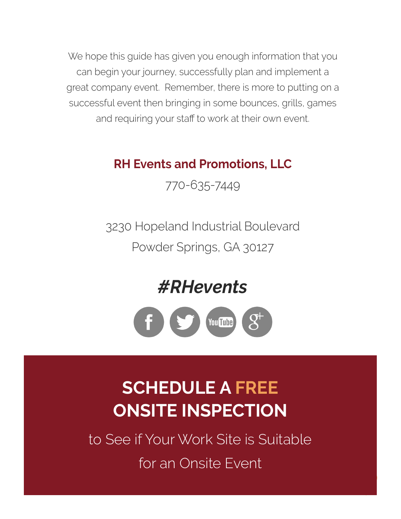We hope this guide has given you enough information that you can begin your journey, successfully plan and implement a great company event. Remember, there is more to putting on a successful event then bringing in some bounces, grills, games and requiring your staff to work at their own event.

## **RH Events and Promotions, LLC**

770-635-7449

3230 Hopeland Industrial Boulevard Powder Springs, GA 30127

*#RHevents*



# **SCHEDULE A FREE ONSITE INSPECTION**

to See if Your Work Site is Suitable for an Onsite Event